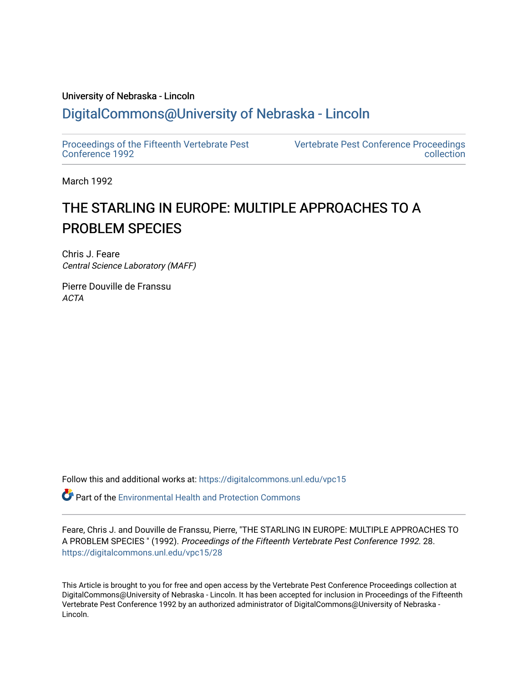## University of Nebraska - Lincoln [DigitalCommons@University of Nebraska - Lincoln](https://digitalcommons.unl.edu/)

[Proceedings of the Fifteenth Vertebrate Pest](https://digitalcommons.unl.edu/vpc15)  [Conference 1992](https://digitalcommons.unl.edu/vpc15) 

[Vertebrate Pest Conference Proceedings](https://digitalcommons.unl.edu/vpccollection)  [collection](https://digitalcommons.unl.edu/vpccollection) 

March 1992

# THE STARLING IN EUROPE: MULTIPLE APPROACHES TO A PROBLEM SPECIES

Chris J. Feare Central Science Laboratory (MAFF)

Pierre Douville de Franssu ACTA

Follow this and additional works at: [https://digitalcommons.unl.edu/vpc15](https://digitalcommons.unl.edu/vpc15?utm_source=digitalcommons.unl.edu%2Fvpc15%2F28&utm_medium=PDF&utm_campaign=PDFCoverPages) 

**P** Part of the Environmental Health and Protection Commons

Feare, Chris J. and Douville de Franssu, Pierre, "THE STARLING IN EUROPE: MULTIPLE APPROACHES TO A PROBLEM SPECIES " (1992). Proceedings of the Fifteenth Vertebrate Pest Conference 1992. 28. [https://digitalcommons.unl.edu/vpc15/28](https://digitalcommons.unl.edu/vpc15/28?utm_source=digitalcommons.unl.edu%2Fvpc15%2F28&utm_medium=PDF&utm_campaign=PDFCoverPages) 

This Article is brought to you for free and open access by the Vertebrate Pest Conference Proceedings collection at DigitalCommons@University of Nebraska - Lincoln. It has been accepted for inclusion in Proceedings of the Fifteenth Vertebrate Pest Conference 1992 by an authorized administrator of DigitalCommons@University of Nebraska - Lincoln.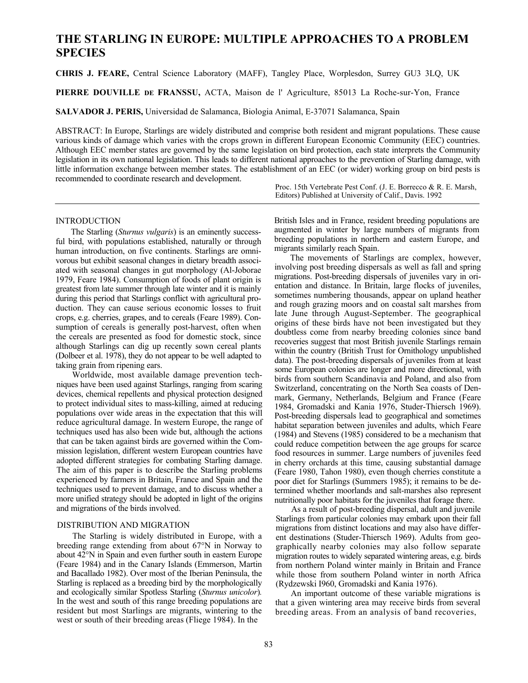### **THE STARLING IN EUROPE: MULTIPLE APPROACHES TO A PROBLEM SPECIES**

**CHRIS J. FEARE,** Central Science Laboratory (MAFF), Tangley Place, Worplesdon, Surrey GU3 3LQ, UK

**PIERRE DOUVILLE DE FRANSSU,** ACTA, Maison de l' Agriculture, 85013 La Roche-sur-Yon, France

**SALVADOR J. PERIS,** Universidad de Salamanca, Biologia Animal, E-37071 Salamanca, Spain

ABSTRACT: In Europe, Starlings are widely distributed and comprise both resident and migrant populations. These cause various kinds of damage which varies with the crops grown in different European Economic Community (EEC) countries. Although EEC member states are governed by the same legislation on bird protection, each state interprets the Community legislation in its own national legislation. This leads to different national approaches to the prevention of Starling damage, with little information exchange between member states. The establishment of an EEC (or wider) working group on bird pests is recommended to coordinate research and development.

> Proc. 15th Vertebrate Pest Conf. (J. E. Borrecco & R. E. Marsh, Editors) Published at University of Calif., Davis. 1992

#### INTRODUCTION

The Starling (*Sturnus vulgaris*) is an eminently successful bird, with populations established, naturally or through human introduction, on five continents. Starlings are omnivorous but exhibit seasonal changes in dietary breadth associated with seasonal changes in gut morphology (Al-Joborae 1979, Feare 1984). Consumption of foods of plant origin is greatest from late summer through late winter and it is mainly during this period that Starlings conflict with agricultural production. They can cause serious economic losses to fruit crops, e.g. cherries, grapes, and to cereals (Feare 1989). Consumption of cereals is generally post-harvest, often when the cereals are presented as food for domestic stock, since although Starlings can dig up recently sown cereal plants (Dolbeer et al. 1978), they do not appear to be well adapted to taking grain from ripening ears.

Worldwide, most available damage prevention techniques have been used against Starlings, ranging from scaring devices, chemical repellents and physical protection designed to protect individual sites to mass-killing, aimed at reducing populations over wide areas in the expectation that this will reduce agricultural damage. In western Europe, the range of techniques used has also been wide but, although the actions that can be taken against birds are governed within the Commission legislation, different western European countries have adopted different strategies for combating Starling damage. The aim of this paper is to describe the Starling problems experienced by farmers in Britain, France and Spain and the techniques used to prevent damage, and to discuss whether a more unified strategy should be adopted in light of the origins and migrations of the birds involved.

#### DISTRIBUTION AND MIGRATION

The Starling is widely distributed in Europe, with a breeding range extending from about 67°N in Norway to about 42°N in Spain and even further south in eastern Europe (Feare 1984) and in the Canary Islands (Emmerson, Martin and Bacallado 1982). Over most of the Iberian Peninsula, the Starling is replaced as a breeding bird by the morphologically and ecologically similar Spotless Starling (*Sturnus unicolor*)*.*  In the west and south of this range breeding populations are resident but most Starlings are migrants, wintering to the west or south of their breeding areas (Fliege 1984). In the

British Isles and in France, resident breeding populations are augmented in winter by large numbers of migrants from breeding populations in northern and eastern Europe, and migrants similarly reach Spain.

The movements of Starlings are complex, however, involving post breeding dispersals as well as fall and spring migrations. Post-breeding dispersals of juveniles vary in orientation and distance. In Britain, large flocks of juveniles, sometimes numbering thousands, appear on upland heather and rough grazing moors and on coastal salt marshes from late June through August-September. The geographical origins of these birds have not been investigated but they doubtless come from nearby breeding colonies since band recoveries suggest that most British juvenile Starlings remain within the country (British Trust for Ornithology unpublished data). The post-breeding dispersals of juveniles from at least some European colonies are longer and more directional, with birds from southern Scandinavia and Poland, and also from Switzerland, concentrating on the North Sea coasts of Denmark, Germany, Netherlands, Belgium and France (Feare 1984, Gromadski and Kania 1976, Studer-Thiersch 1969). Post-breeding dispersals lead to geographical and sometimes habitat separation between juveniles and adults, which Feare (1984) and Stevens (1985) considered to be a mechanism that could reduce competition between the age groups for scarce food resources in summer. Large numbers of juveniles feed in cherry orchards at this time, causing substantial damage (Feare 1980, Tahon 1980), even though cherries constitute a poor diet for Starlings (Summers 1985); it remains to be determined whether moorlands and salt-marshes also represent nutritionally poor habitats for the juveniles that forage there.

As a result of post-breeding dispersal, adult and juvenile Starlings from particular colonies may embark upon their fall migrations from distinct locations and may also have different destinations (Studer-Thiersch 1969). Adults from geographically nearby colonies may also follow separate migration routes to widely separated wintering areas, e.g. birds from northern Poland winter mainly in Britain and France while those from southern Poland winter in north Africa (Rydzewski I960, Gromadski and Kania 1976).

An important outcome of these variable migrations is that a given wintering area may receive birds from several breeding areas. From an analysis of band recoveries,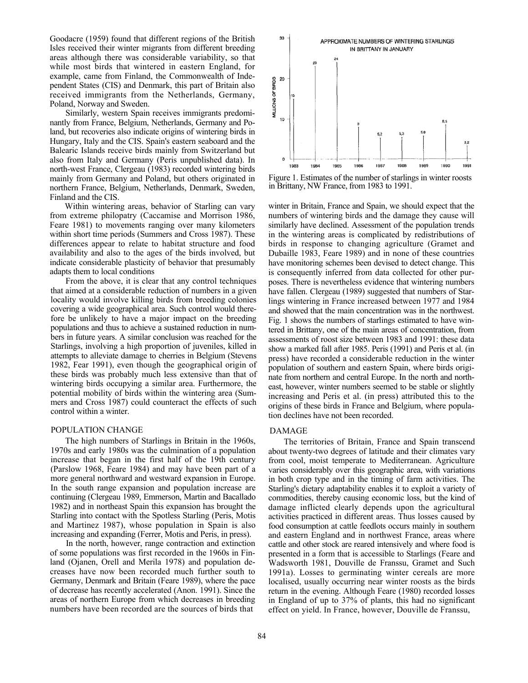Goodacre (1959) found that different regions of the British Isles received their winter migrants from different breeding areas although there was considerable variability, so that while most birds that wintered in eastern England, for example, came from Finland, the Commonwealth of Independent States (CIS) and Denmark, this part of Britain also received immigrants from the Netherlands, Germany, Poland, Norway and Sweden.

Similarly, western Spain receives immigrants predominantly from France, Belgium, Netherlands, Germany and Poland, but recoveries also indicate origins of wintering birds in Hungary, Italy and the CIS. Spain's eastern seaboard and the Balearic Islands receive birds mainly from Switzerland but also from Italy and Germany (Peris unpublished data). In north-west France, Clergeau (1983) recorded wintering birds mainly from Germany and Poland, but others originated in northern France, Belgium, Netherlands, Denmark, Sweden, Finland and the CIS.

Within wintering areas, behavior of Starling can vary from extreme philopatry (Caccamise and Morrison 1986, Feare 1981) to movements ranging over many kilometers within short time periods (Summers and Cross 1987). These differences appear to relate to habitat structure and food availability and also to the ages of the birds involved, but indicate considerable plasticity of behavior that presumably adapts them to local conditions

From the above, it is clear that any control techniques that aimed at a considerable reduction of numbers in a given locality would involve killing birds from breeding colonies covering a wide geographical area. Such control would therefore be unlikely to have a major impact on the breeding populations and thus to achieve a sustained reduction in numbers in future years. A similar conclusion was reached for the Starlings, involving a high proportion of juveniles, killed in attempts to alleviate damage to cherries in Belgium (Stevens 1982, Fear 1991), even though the geographical origin of these birds was probably much less extensive than that of wintering birds occupying a similar area. Furthermore, the potential mobility of birds within the wintering area (Summers and Cross 1987) could counteract the effects of such control within a winter.

#### POPULATION CHANGE

The high numbers of Starlings in Britain in the 1960s, 1970s and early 1980s was the culmination of a population increase that began in the first half of the 19th century (Parslow 1968, Feare 1984) and may have been part of a more general northward and westward expansion in Europe. In the south range expansion and population increase are continuing (Clergeau 1989, Emmerson, Martin and Bacallado 1982) and in northeast Spain this expansion has brought the Starling into contact with the Spotless Starling (Peris, Motis and Martinez 1987), whose population in Spain is also increasing and expanding (Ferrer, Motis and Peris, in press).

In the north, however, range contraction and extinction of some populations was first recorded in the 1960s in Finland (Ojanen, Orell and Merila 1978) and population decreases have now been recorded much further south to Germany, Denmark and Britain (Feare 1989), where the pace of decrease has recently accelerated (Anon. 1991). Since the areas of northern Europe from which decreases in breeding numbers have been recorded are the sources of birds that



Figure 1. Estimates of the number of starlings in winter roosts in Brittany, NW France, from 1983 to 1991.

winter in Britain, France and Spain, we should expect that the numbers of wintering birds and the damage they cause will similarly have declined. Assessment of the population trends in the wintering areas is complicated by redistributions of birds in response to changing agriculture (Gramet and Dubaille 1983, Feare 1989) and in none of these countries have monitoring schemes been devised to detect change. This is consequently inferred from data collected for other purposes. There is nevertheless evidence that wintering numbers have fallen. Clergeau (1989) suggested that numbers of Starlings wintering in France increased between 1977 and 1984 and showed that the main concentration was in the northwest. Fig. 1 shows the numbers of starlings estimated to have wintered in Brittany, one of the main areas of concentration, from assessments of roost size between 1983 and 1991: these data show a marked fall after 1985. Peris (1991) and Peris et al. (in press) have recorded a considerable reduction in the winter population of southern and eastern Spain, where birds originate from northern and central Europe. In the north and northeast, however, winter numbers seemed to be stable or slightly increasing and Peris et al. (in press) attributed this to the origins of these birds in France and Belgium, where population declines have not been recorded.

#### DAMAGE

The territories of Britain, France and Spain transcend about twenty-two degrees of latitude and their climates vary from cool, moist temperate to Mediterranean. Agriculture varies considerably over this geographic area, with variations in both crop type and in the timing of farm activities. The Starling's dietary adaptability enables it to exploit a variety of commodities, thereby causing economic loss, but the kind of damage inflicted clearly depends upon the agricultural activities practiced in different areas. Thus losses caused by food consumption at cattle feedlots occurs mainly in southern and eastern England and in northwest France, areas where cattle and other stock are reared intensively and where food is presented in a form that is accessible to Starlings (Feare and Wadsworth 1981, Douville de Franssu, Gramet and Such 1991a). Losses to germinating winter cereals are more localised, usually occurring near winter roosts as the birds return in the evening. Although Feare (1980) recorded losses in England of up to 37% of plants, this had no significant effect on yield. In France, however, Douville de Franssu,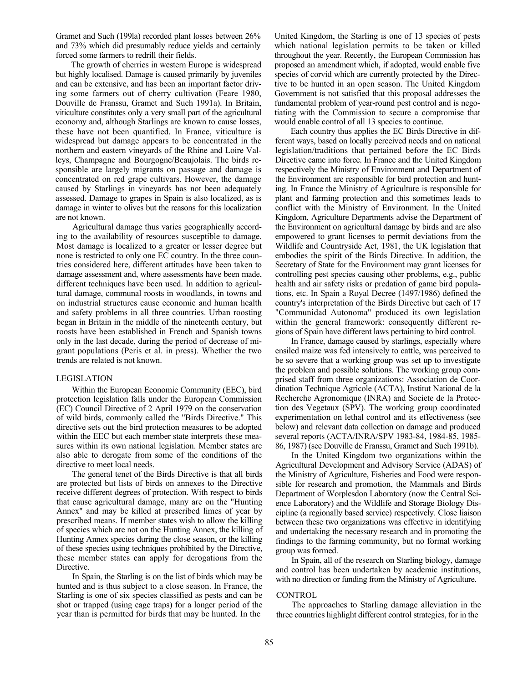Gramet and Such (199la) recorded plant losses between 26% and 73% which did presumably reduce yields and certainly forced some farmers to redrill their fields.

The growth of cherries in western Europe is widespread but highly localised. Damage is caused primarily by juveniles and can be extensive, and has been an important factor driving some farmers out of cherry cultivation (Feare 1980, Douville de Franssu, Gramet and Such 1991a). In Britain, viticulture constitutes only a very small part of the agricultural economy and, although Starlings are known to cause losses, these have not been quantified. In France, viticulture is widespread but damage appears to be concentrated in the northern and eastern vineyards of the Rhine and Loire Valleys, Champagne and Bourgogne/Beaujolais. The birds responsible are largely migrants on passage and damage is concentrated on red grape cultivars. However, the damage caused by Starlings in vineyards has not been adequately assessed. Damage to grapes in Spain is also localized, as is damage in winter to olives but the reasons for this localization are not known.

Agricultural damage thus varies geographically according to the availability of resources susceptible to damage. Most damage is localized to a greater or lesser degree but none is restricted to only one EC country. In the three countries considered here, different attitudes have been taken to damage assessment and, where assessments have been made, different techniques have been used. In addition to agricultural damage, communal roosts in woodlands, in towns and on industrial structures cause economic and human health and safety problems in all three countries. Urban roosting began in Britain in the middle of the nineteenth century, but roosts have been established in French and Spanish towns only in the last decade, during the period of decrease of migrant populations (Peris et al. in press). Whether the two trends are related is not known.

#### LEGISLATION

Within the European Economic Community (EEC), bird protection legislation falls under the European Commission (EC) Council Directive of 2 April 1979 on the conservation of wild birds, commonly called the "Birds Directive." This directive sets out the bird protection measures to be adopted within the EEC but each member state interprets these measures within its own national legislation. Member states are also able to derogate from some of the conditions of the directive to meet local needs.

The general tenet of the Birds Directive is that all birds are protected but lists of birds on annexes to the Directive receive different degrees of protection. With respect to birds that cause agricultural damage, many are on the "Hunting Annex" and may be killed at prescribed limes of year by prescribed means. If member states wish to allow the killing of species which are not on the Hunting Annex, the killing of Hunting Annex species during the close season, or the killing of these species using techniques prohibited by the Directive, these member states can apply for derogations from the Directive.

In Spain, the Starling is on the list of birds which may be hunted and is thus subject to a close season. In France, the Starling is one of six species classified as pests and can be shot or trapped (using cage traps) for a longer period of the year than is permitted for birds that may be hunted. In the

United Kingdom, the Starling is one of 13 species of pests which national legislation permits to be taken or killed throughout the year. Recently, the European Commission has proposed an amendment which, if adopted, would enable five species of corvid which are currently protected by the Directive to be hunted in an open season. The United Kingdom Government is not satisfied that this proposal addresses the fundamental problem of year-round pest control and is negotiating with the Commission to secure a compromise that would enable control of all 13 species to continue.

Each country thus applies the EC Birds Directive in different ways, based on locally perceived needs and on national legislation/traditions that pertained before the EC Birds Directive came into force. In France and the United Kingdom respectively the Ministry of Environment and Department of the Environment are responsible for bird protection and hunting. In France the Ministry of Agriculture is responsible for plant and farming protection and this sometimes leads to conflict with the Ministry of Environment. In the United Kingdom, Agriculture Departments advise the Department of the Environment on agricultural damage by birds and are also empowered to grant licenses to permit deviations from the Wildlife and Countryside Act, 1981, the UK legislation that embodies the spirit of the Birds Directive. In addition, the Secretary of State for the Environment may grant licenses for controlling pest species causing other problems, e.g., public health and air safety risks or predation of game bird populations, etc. In Spain a Royal Decree (1497/1986) defined the country's interpretation of the Birds Directive but each of 17 "Communidad Autonoma" produced its own legislation within the general framework: consequently different regions of Spain have different laws pertaining to bird control.

In France, damage caused by starlings, especially where ensiled maize was fed intensively to cattle, was perceived to be so severe that a working group was set up to investigate the problem and possible solutions. The working group comprised staff from three organizations: Association de Coordination Technique Agricole (ACTA), Institut National de la Recherche Agronomique (INRA) and Societe de la Protection des Vegetaux (SPV). The working group coordinated experimentation on lethal control and its effectiveness (see below) and relevant data collection on damage and produced several reports (ACTA/INRA/SPV 1983-84, 1984-85, 1985- 86, 1987) (see Douville de Franssu, Gramet and Such 1991b).

In the United Kingdom two organizations within the Agricultural Development and Advisory Service (ADAS) of the Ministry of Agriculture, Fisheries and Food were responsible for research and promotion, the Mammals and Birds Department of Worplesdon Laboratory (now the Central Science Laboratory) and the Wildlife and Storage Biology Discipline (a regionally based service) respectively. Close liaison between these two organizations was effective in identifying and undertaking the necessary research and in promoting the findings to the farming community, but no formal working group was formed.

In Spain, all of the research on Starling biology, damage and control has been undertaken by academic institutions, with no direction or funding from the Ministry of Agriculture.

#### CONTROL

The approaches to Starling damage alleviation in the three countries highlight different control strategies, for in the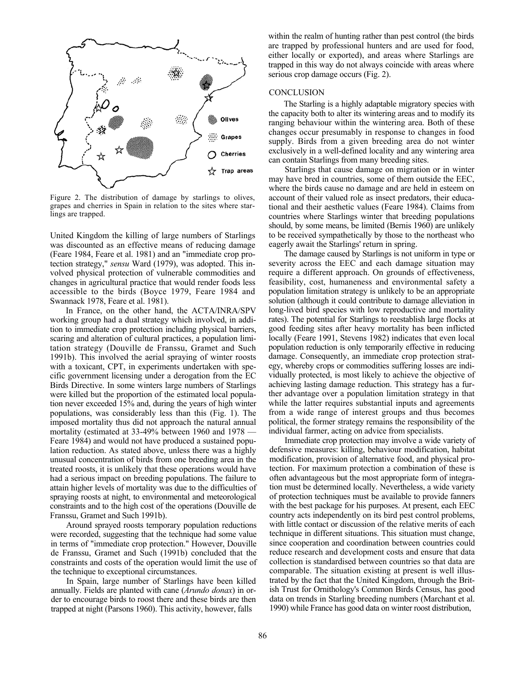

Figure 2. The distribution of damage by starlings to olives, grapes and cherries in Spain in relation to the sites where starlings are trapped.

United Kingdom the killing of large numbers of Starlings was discounted as an effective means of reducing damage (Feare 1984, Feare et al. 1981) and an "immediate crop protection strategy," *sensu* Ward (1979), was adopted. This involved physical protection of vulnerable commodities and changes in agricultural practice that would render foods less accessible to the birds (Boyce 1979, Feare 1984 and Swannack 1978, Feare et al. 1981).

In France, on the other hand, the ACTA/INRA/SPV working group had a dual strategy which involved, in addition to immediate crop protection including physical barriers, scaring and alteration of cultural practices, a population limitation strategy (Douville de Franssu, Gramet and Such 1991b). This involved the aerial spraying of winter roosts with a toxicant, CPT, in experiments undertaken with specific government licensing under a derogation from the EC Birds Directive. In some winters large numbers of Starlings were killed but the proportion of the estimated local population never exceeded 15% and, during the years of high winter populations, was considerably less than this (Fig. 1). The imposed mortality thus did not approach the natural annual mortality (estimated at 33-49% between 1960 and 1978 — Feare 1984) and would not have produced a sustained population reduction. As stated above, unless there was a highly unusual concentration of birds from one breeding area in the treated roosts, it is unlikely that these operations would have had a serious impact on breeding populations. The failure to attain higher levels of mortality was due to the difficulties of spraying roosts at night, to environmental and meteorological constraints and to the high cost of the operations (Douville de Franssu, Gramet and Such 1991b).

Around sprayed roosts temporary population reductions were recorded, suggesting that the technique had some value in terms of "immediate crop protection." However, Douville de Franssu, Gramet and Such (1991b) concluded that the constraints and costs of the operation would limit the use of the technique to exceptional circumstances.

In Spain, large number of Starlings have been killed annually. Fields are planted with cane (*Arundo donax*) in order to encourage birds to roost there and these birds are then trapped at night (Parsons 1960). This activity, however, falls

within the realm of hunting rather than pest control (the birds are trapped by professional hunters and are used for food, either locally or exported), and areas where Starlings are trapped in this way do not always coincide with areas where serious crop damage occurs (Fig. 2).

#### CONCLUSION

The Starling is a highly adaptable migratory species with the capacity both to alter its wintering areas and to modify its ranging behaviour within the wintering area. Both of these changes occur presumably in response to changes in food supply. Birds from a given breeding area do not winter exclusively in a well-defined locality and any wintering area can contain Starlings from many breeding sites.

Starlings that cause damage on migration or in winter may have bred in countries, some of them outside the EEC, where the birds cause no damage and are held in esteem on account of their valued role as insect predators, their educational and their aesthetic values (Feare 1984). Claims from countries where Starlings winter that breeding populations should, by some means, be limited (Bernis 1960) are unlikely to be received sympathetically by those to the northeast who eagerly await the Starlings' return in spring.

The damage caused by Starlings is not uniform in type or severity across the EEC and each damage situation may require a different approach. On grounds of effectiveness, feasibility, cost, humaneness and environmental safety a population limitation strategy is unlikely to be an appropriate solution (although it could contribute to damage alleviation in long-lived bird species with low reproductive and mortality rates). The potential for Starlings to reestablish large flocks at good feeding sites after heavy mortality has been inflicted locally (Feare 1991, Stevens 1982) indicates that even local population reduction is only temporarily effective in reducing damage. Consequently, an immediate crop protection strategy, whereby crops or commodities suffering losses are individually protected, is most likely to achieve the objective of achieving lasting damage reduction. This strategy has a further advantage over a population limitation strategy in that while the latter requires substantial inputs and agreements from a wide range of interest groups and thus becomes political, the former strategy remains the responsibility of the individual farmer, acting on advice from specialists.

Immediate crop protection may involve a wide variety of defensive measures: killing, behaviour modification, habitat modification, provision of alternative food, and physical protection. For maximum protection a combination of these is often advantageous but the most appropriate form of integration must be determined locally. Nevertheless, a wide variety of protection techniques must be available to provide fanners with the best package for his purposes. At present, each EEC country acts independently on its bird pest control problems, with little contact or discussion of the relative merits of each technique in different situations. This situation must change, since cooperation and coordination between countries could reduce research and development costs and ensure that data collection is standardised between countries so that data are comparable. The situation existing at present is well illustrated by the fact that the United Kingdom, through the British Trust for Ornithology's Common Birds Census, has good data on trends in Starling breeding numbers (Marchant et al. 1990) while France has good data on winter roost distribution,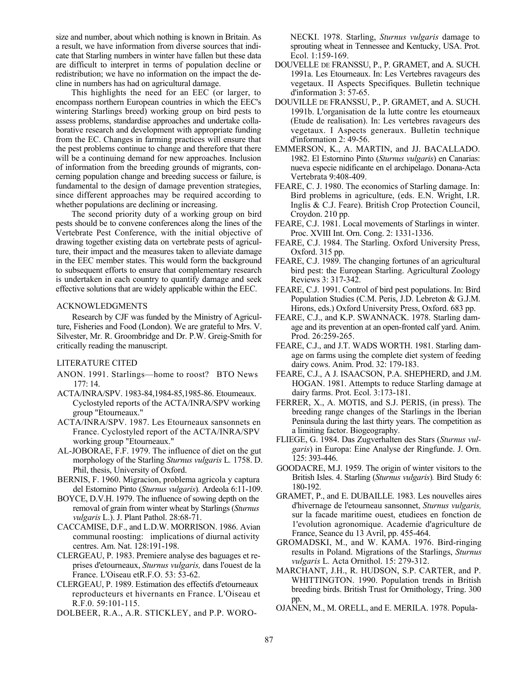size and number, about which nothing is known in Britain. As a result, we have information from diverse sources that indicate that Starling numbers in winter have fallen but these data are difficult to interpret in terms of population decline or redistribution; we have no information on the impact the decline in numbers has had on agricultural damage.

This highlights the need for an EEC (or larger, to encompass northern European countries in which the EEC's wintering Starlings breed) working group on bird pests to assess problems, standardise approaches and undertake collaborative research and development with appropriate funding from the EC. Changes in farming practices will ensure that the pest problems continue to change and therefore that there will be a continuing demand for new approaches. Inclusion of information from the breeding grounds of migrants, concerning population change and breeding success or failure, is fundamental to the design of damage prevention strategies, since different approaches may be required according to whether populations are declining or increasing.

The second priority duty of a working group on bird pests should be to convene conferences along the lines of the Vertebrate Pest Conference, with the initial objective of drawing together existing data on vertebrate pests of agriculture, their impact and the measures taken to alleviate damage in the EEC member states. This would form the background to subsequent efforts to ensure that complementary research is undertaken in each country to quantify damage and seek effective solutions that are widely applicable within the EEC.

#### ACKNOWLEDGMENTS

Research by CJF was funded by the Ministry of Agriculture, Fisheries and Food (London). We are grateful to Mrs. V. Silvester, Mr. R. Groombridge and Dr. P.W. Greig-Smith for critically reading the manuscript.

#### LITERATURE CITED

- ANON. 1991. Starlings—home to roost? BTO News 177: 14.
- ACTA/INRA/SPV. 1983-84,1984-85,1985-86. Etoumeaux. Cyclostyled reports of the ACTA/INRA/SPV working group "Etourneaux."
- ACTA/INRA/SPV. 1987. Les Etourneaux sansonnets en France. Cyclostyled report of the ACTA/INRA/SPV working group "Etourneaux."
- AL-JOBORAE, F.F. 1979. The influence of diet on the gut morphology of the Starling *Sturnus vulgaris* L*.* 1758. D. Phil, thesis, University of Oxford.
- BERNIS, F. 1960. Migracion, problema agricola y captura del Estornino Pinto (*Sturnus vulgaris*)*.* Ardeola 6:11-109.
- BOYCE, D.V.H. 1979. The influence of sowing depth on the removal of grain from winter wheat by Starlings (*Sturnus vulgaris* L.). J. Plant Pathol. 28:68-71.
- CACCAMISE, D.F., and L.D.W. MORRISON. 1986. Avian communal roosting: implications of diurnal activity centres. Am. Nat. 128:191-198.
- CLERGEAU, P. 1983. Premiere analyse des baguages et reprises d'etourneaux, *Sturnus vulgaris,* dans l'ouest de la France. L'Oiseau etR.F.O. 53: 53-62.
- CLERGEAU, P. 1989. Estimation des effectifs d'etourneaux reproducteurs et hivernants en France. L'Oiseau et R.F.0. 59:101-115.

DOLBEER, R.A., A.R. STICKLEY, and P.P. WORO-

NECKI. 1978. Starling, *Sturnus vulgaris* damage to sprouting wheat in Tennessee and Kentucky, USA. Prot. Ecol. 1:159-169.

- DOUVELLE DE FRANSSU, P., P. GRAMET, and A. SUCH. 1991a. Les Etourneaux. In: Les Vertebres ravageurs des vegetaux. II Aspects Specifiques. Bulletin technique d'information 3: 57-65.
- DOUVILLE DE FRANSSU, P., P. GRAMET, and A. SUCH. 1991b. L'organisation de la lutte contre les etourneaux (Etude de realisation). In: Les vertebres ravageurs des vegetaux. I Aspects generaux. Bulletin technique d'information 2: 49-56.
- EMMERSON, K., A. MARTIN, and JJ. BACALLADO. 1982. El Estornino Pinto (*Sturnus vulgaris*) en Canarias: nueva especie nidificante en el archipelago. Donana-Acta Vertebrata 9:408-409.
- FEARE, C. J. 1980. The economics of Starling damage. In: Bird problems in agriculture, (eds. E.N. Wright, I.R. Inglis & C.J. Feare). British Crop Protection Council, Croydon. 210 pp.
- FEARE, C.J. 1981. Local movements of Starlings in winter. Proc. XVIII Int. Orn. Cong. 2: 1331-1336.
- FEARE, C.J. 1984. The Starling. Oxford University Press, Oxford. 315 pp.
- FEARE, C.J. 1989. The changing fortunes of an agricultural bird pest: the European Starling. Agricultural Zoology Reviews 3: 317-342.
- FEARE, C.J. 1991. Control of bird pest populations. In: Bird Population Studies (C.M. Peris, J.D. Lebreton & G.J.M. Hirons, eds.) Oxford University Press, Oxford. 683 pp.
- FEARE, C.J., and K.P. SWANNACK. 1978. Starling damage and its prevention at an open-fronted calf yard. Anim. Prod. 26:259-265.
- FEARE, C.J., and J.T. WADS WORTH. 1981. Starling damage on farms using the complete diet system of feeding dairy cows. Anim. Prod. 32: 179-183.
- FEARE, C.J., A J. ISAACSON, P.A. SHEPHERD, and J.M. HOGAN. 1981. Attempts to reduce Starling damage at dairy farms. Prot. Ecol. 3:173-181.
- FERRER, X., A. MOTIS, and S.J. PERIS, (in press). The breeding range changes of the Starlings in the Iberian Peninsula during the last thirty years. The competition as a limiting factor. Biogeography.
- FLIEGE, G. 1984. Das Zugverhalten des Stars (*Sturnus vulgaris*) in Europa: Eine Analyse der Ringfunde. J. Orn. 125: 393-446.
- GOODACRE, M.J. 1959. The origin of winter visitors to the British Isles. 4. Starling (*Sturnus vulgaris*)*.* Bird Study 6: 180-192.
- GRAMET, P., and E. DUBAILLE. 1983. Les nouvelles aires d'hivernage de l'etourneau sansonnet, *Sturnus vulgaris,*  sur la facade maritime ouest, etudiees en fonction de 1'evolution agronomique. Academie d'agriculture de France, Seance du 13 Avril, pp. 455-464.
- GROMADSKI, M., and W. KAMA. 1976. Bird-ringing results in Poland. Migrations of the Starlings, *Sturnus vulgaris* L*.* Acta Ornithol. 15: 279-312.
- MARCHANT, J.H., R. HUDSON, S.P. CARTER, and P. WHITTINGTON. 1990. Population trends in British breeding birds. British Trust for Ornithology, Tring. 300 pp.
- OJANEN, M., M. ORELL, and E. MERILA. 1978. Popula-